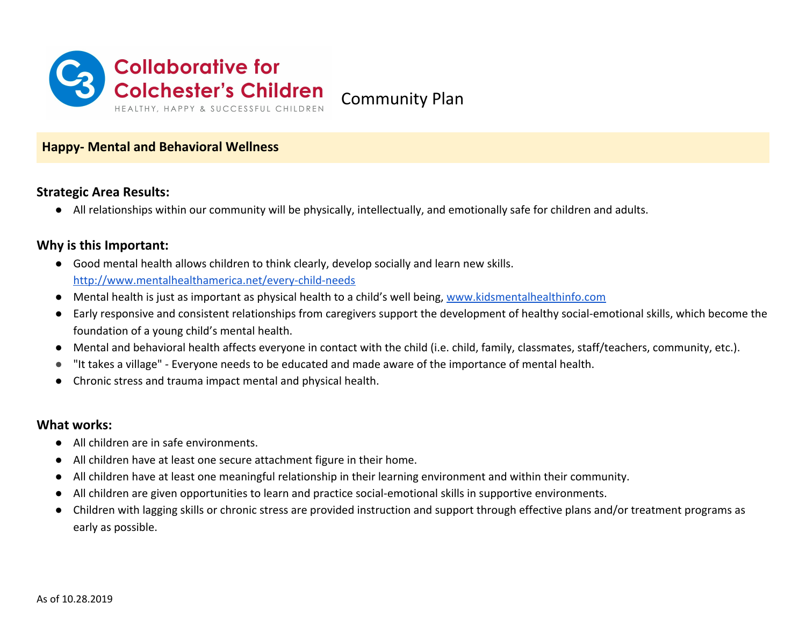

### **Happy- Mental and Behavioral Wellness**

## **Strategic Area Results:**

● All relationships within our community will be physically, intellectually, and emotionally safe for children and adults.

## **Why is this Important:**

- Good mental health allows children to think clearly, develop socially and learn new skills. <http://www.mentalhealthamerica.net/every-child-needs>
- Mental health is just as important as physical health to a child's well being, [www.kidsmentalhealthinfo.com](http://www.kidsmentalhealthinfo.com/)
- Early responsive and consistent relationships from caregivers support the development of healthy social-emotional skills, which become the foundation of a young child's mental health.
- Mental and behavioral health affects everyone in contact with the child (i.e. child, family, classmates, staff/teachers, community, etc.).
- "It takes a village" Everyone needs to be educated and made aware of the importance of mental health.
- Chronic stress and trauma impact mental and physical health.

#### **What works:**

- All children are in safe environments.
- All children have at least one secure attachment figure in their home.
- All children have at least one meaningful relationship in their learning environment and within their community.
- All children are given opportunities to learn and practice social-emotional skills in supportive environments.
- Children with lagging skills or chronic stress are provided instruction and support through effective plans and/or treatment programs as early as possible.